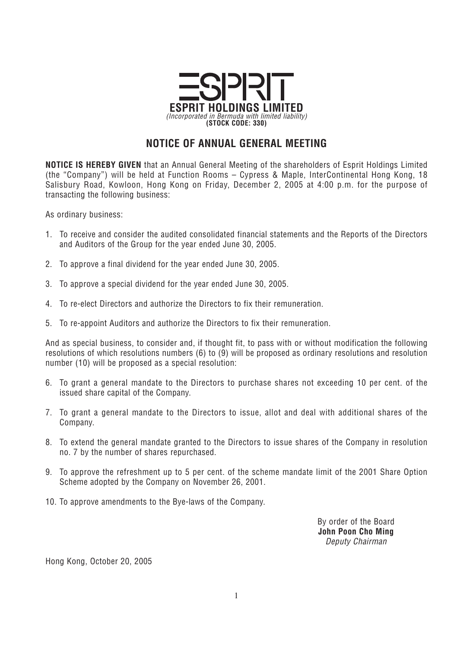

## **NOTICE OF ANNUAL GENERAL MEETING**

**NOTICE IS HEREBY GIVEN** *that an Annual General Meeting of the shareholders of Esprit Holdings Limited (the "Company") will be held at Function Rooms – Cypress & Maple, InterContinental Hong Kong, 18 Salisbury Road, Kowloon, Hong Kong on Friday, December 2, 2005 at 4:00 p.m. for the purpose of transacting the following business:*

*As ordinary business:*

- *1. To receive and consider the audited consolidated financial statements and the Reports of the Directors and Auditors of the Group for the year ended June 30, 2005.*
- *2. To approve a final dividend for the year ended June 30, 2005.*
- *3. To approve a special dividend for the year ended June 30, 2005.*
- *4. To re-elect Directors and authorize the Directors to fix their remuneration.*
- *5. To re-appoint Auditors and authorize the Directors to fix their remuneration.*

*And as special business, to consider and, if thought fit, to pass with or without modification the following resolutions of which resolutions numbers (6) to (9) will be proposed as ordinary resolutions and resolution number (10) will be proposed as a special resolution:*

- *6. To grant a general mandate to the Directors to purchase shares not exceeding 10 per cent. of the issued share capital of the Company.*
- *7. To grant a general mandate to the Directors to issue, allot and deal with additional shares of the Company.*
- *8. To extend the general mandate granted to the Directors to issue shares of the Company in resolution no. 7 by the number of shares repurchased.*
- *9. To approve the refreshment up to 5 per cent. of the scheme mandate limit of the 2001 Share Option Scheme adopted by the Company on November 26, 2001.*
- *10. To approve amendments to the Bye-laws of the Company.*

*By order of the Board* **John Poon Cho Ming** *Deputy Chairman*

*Hong Kong, October 20, 2005*